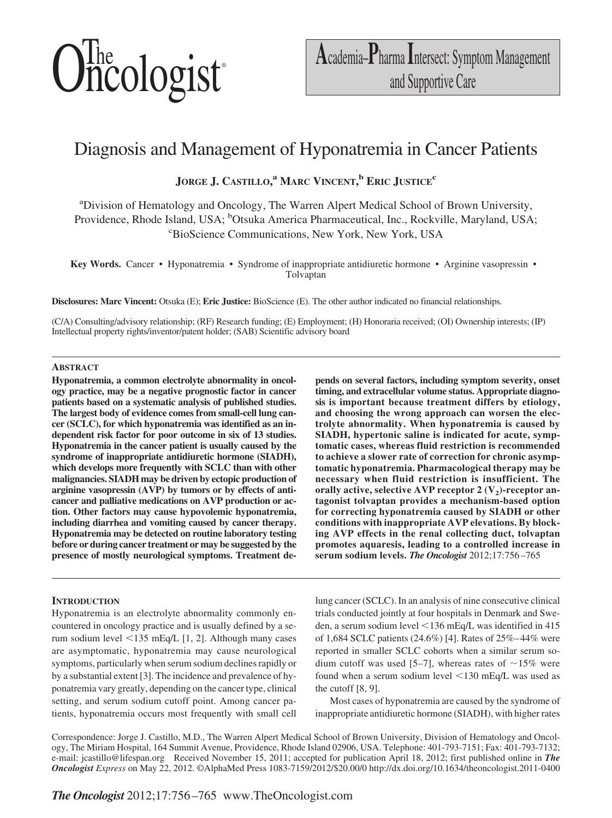

# Diagnosis and Management of Hyponatremia in Cancer Patients

**JORGE J. CASTILLO, <sup>a</sup> MARC VINCENT, <sup>b</sup> ERIC JUSTICEc**

<sup>a</sup>Division of Hematology and Oncology, The Warren Alpert Medical School of Brown University, Providence, Rhode Island, USA; <sup>b</sup>Otsuka America Pharmaceutical, Inc., Rockville, Maryland, USA; c BioScience Communications, New York, New York, USA

**Key Words.** Cancer • Hyponatremia • Syndrome of inappropriate antidiuretic hormone • Arginine vasopressin • Tolvaptan

**Disclosures: Marc Vincent:** Otsuka (E); **Eric Justice:** BioScience (E). The other author indicated no financial relationships.

(C/A) Consulting/advisory relationship; (RF) Research funding; (E) Employment; (H) Honoraria received; (OI) Ownership interests; (IP) Intellectual property rights/inventor/patent holder; (SAB) Scientific advisory board

#### **ABSTRACT**

**Hyponatremia, a common electrolyte abnormality in oncology practice, may be a negative prognostic factor in cancer patients based on a systematic analysis of published studies. The largest body of evidence comes from small-cell lung cancer (SCLC), for which hyponatremia was identified as an independent risk factor for poor outcome in six of 13 studies. Hyponatremia in the cancer patient is usually caused by the syndrome of inappropriate antidiuretic hormone (SIADH), which develops more frequently with SCLC than with other malignancies. SIADH may be driven by ectopic production of arginine vasopressin (AVP) by tumors or by effects of anticancer and palliative medications on AVP production or action. Other factors may cause hypovolemic hyponatremia, including diarrhea and vomiting caused by cancer therapy. Hyponatremia may be detected on routine laboratory testing before or during cancer treatment or may be suggested by the presence of mostly neurological symptoms. Treatment de-**

## **INTRODUCTION**

Hyponatremia is an electrolyte abnormality commonly encountered in oncology practice and is usually defined by a serum sodium level  $\leq$ 135 mEq/L [1, 2]. Although many cases are asymptomatic, hyponatremia may cause neurological symptoms, particularly when serum sodium declines rapidly or by a substantial extent [3]. The incidence and prevalence of hyponatremia vary greatly, depending on the cancer type, clinical setting, and serum sodium cutoff point. Among cancer patients, hyponatremia occurs most frequently with small cell **pends on several factors, including symptom severity, onset timing, and extracellular volume status. Appropriate diagnosis is important because treatment differs by etiology, and choosing the wrong approach can worsen the electrolyte abnormality. When hyponatremia is caused by SIADH, hypertonic saline is indicated for acute, symptomatic cases, whereas fluid restriction is recommended to achieve a slower rate of correction for chronic asymptomatic hyponatremia. Pharmacological therapy may be necessary when fluid restriction is insufficient. The** orally active, selective AVP receptor 2 (V<sub>2</sub>)-receptor an**tagonist tolvaptan provides a mechanism-based option for correcting hyponatremia caused by SIADH or other conditions with inappropriate AVP elevations. By blocking AVP effects in the renal collecting duct, tolvaptan promotes aquaresis, leading to a controlled increase in serum sodium levels.** *The Oncologist* 2012;17:756 –765

lung cancer (SCLC). In an analysis of nine consecutive clinical trials conducted jointly at four hospitals in Denmark and Sweden, a serum sodium level  $\leq 136$  mEq/L was identified in 415 of 1,684 SCLC patients (24.6%) [4]. Rates of 25%– 44% were reported in smaller SCLC cohorts when a similar serum sodium cutoff was used [5–7], whereas rates of  $\sim$ 15% were found when a serum sodium level  $\leq$ 130 mEq/L was used as the cutoff [8, 9].

Most cases of hyponatremia are caused by the syndrome of inappropriate antidiuretic hormone (SIADH), with higher rates

Correspondence: Jorge J. Castillo, M.D., The Warren Alpert Medical School of Brown University, Division of Hematology and Oncology, The Miriam Hospital, 164 Summit Avenue, Providence, Rhode Island 02906, USA. Telephone: 401-793-7151; Fax: 401-793-7132; e-mail: jcastillo@lifespan.org Received November 15, 2011; accepted for publication April 18, 2012; first published online in *The Oncologist Express* on May 22, 2012. ©AlphaMed Press 1083-7159/2012/\$20.00/0<http://dx.doi.org/10.1634/theoncologist.2011-0400>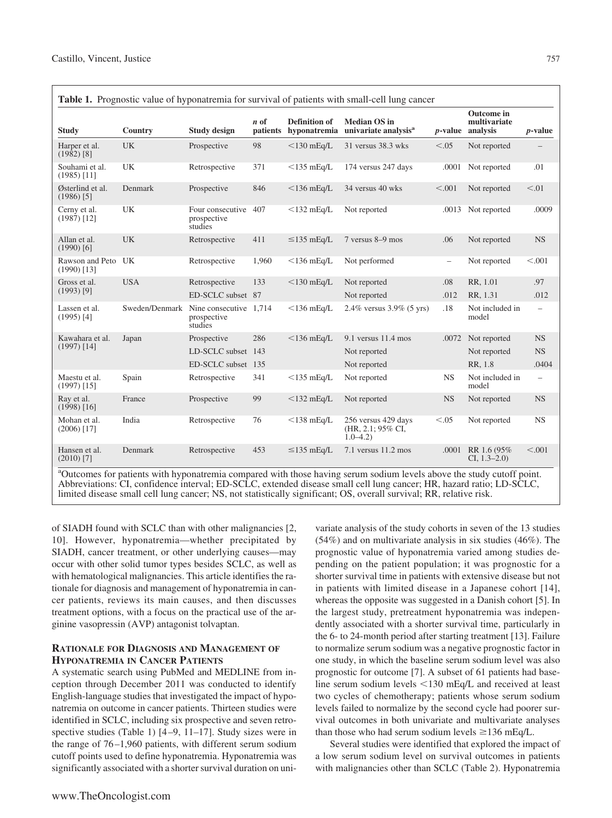|                                     |                |                                                  | $n \text{ of }$ | <b>Definition of</b> | <b>Median OS</b> in                                     |                          | <b>Outcome</b> in<br>multivariate |                          |
|-------------------------------------|----------------|--------------------------------------------------|-----------------|----------------------|---------------------------------------------------------|--------------------------|-----------------------------------|--------------------------|
| <b>Study</b>                        | Country        | <b>Study design</b>                              | patients        | hyponatremia         | univariate analysis <sup>a</sup>                        |                          | <i>p</i> -value analysis          | <i>p</i> -value          |
| Harper et al.<br>$(1982)$ [8]       | <b>UK</b>      | Prospective                                      | 98              | $<$ 130 mEq/L        | 31 versus 38.3 wks                                      | < 0.05                   | Not reported                      |                          |
| Souhami et al.<br>$(1985)$ [11]     | UK             | Retrospective                                    | 371             | $<$ 135 mEq/L        | 174 versus 247 days                                     | .0001                    | Not reported                      | .01                      |
| Østerlind et al.<br>$(1986)$ [5]    | Denmark        | Prospective                                      | 846             | $<$ 136 mEq/L        | 34 versus 40 wks                                        | < .001                   | Not reported                      | < 0.01                   |
| Cerny et al.<br>$(1987)$ [12]       | UK             | Four consecutive<br>prospective<br>studies       | 407             | $<$ 132 mEq/L        | Not reported                                            | .0013                    | Not reported                      | .0009                    |
| Allan et al.<br>$(1990)$ [6]        | <b>UK</b>      | Retrospective                                    | 411             | $\leq$ 135 mEq/L     | 7 versus 8–9 mos                                        | .06                      | Not reported                      | <b>NS</b>                |
| Rawson and Peto UK<br>$(1990)$ [13] |                | Retrospective                                    | 1,960           | $<$ 136 mEq/L        | Not performed                                           | $\overline{\phantom{m}}$ | Not reported                      | < 0.001                  |
| Gross et al.<br>$(1993)$ [9]        | <b>USA</b>     | Retrospective                                    | 133             | $<$ 130 mEq/L        | Not reported                                            | .08                      | RR, 1.01                          | .97                      |
|                                     |                | ED-SCLC subset 87                                |                 |                      | Not reported                                            | .012                     | RR, 1.31                          | .012                     |
| Lassen et al.<br>$(1995)$ [4]       | Sweden/Denmark | Nine consecutive 1,714<br>prospective<br>studies |                 | $<$ 136 mEq/L        | 2.4% versus 3.9% (5 yrs)                                | .18                      | Not included in<br>model          | $\qquad \qquad -$        |
| Kawahara et al.<br>$(1997)$ [14]    | Japan          | Prospective                                      | 286             | $<$ 136 mEq/L        | $9.1$ versus $11.4$ mos                                 | .0072                    | Not reported                      | <b>NS</b>                |
|                                     |                | LD-SCLC subset 143                               |                 |                      | Not reported                                            |                          | Not reported                      | <b>NS</b>                |
|                                     |                | ED-SCLC subset 135                               |                 |                      | Not reported                                            |                          | RR, 1.8                           | .0404                    |
| Maestu et al.<br>$(1997)$ [15]      | Spain          | Retrospective                                    | 341             | $<$ 135 mEq/L        | Not reported                                            | <b>NS</b>                | Not included in<br>model          | $\overline{\phantom{0}}$ |
| Ray et al.<br>$(1998)$ [16]         | France         | Prospective                                      | 99              | $<$ 132 mEq/L        | Not reported                                            | <b>NS</b>                | Not reported                      | <b>NS</b>                |
| Mohan et al.<br>$(2006)$ [17]       | India          | Retrospective                                    | 76              | $<$ 138 mEq/L        | 256 versus 429 days<br>(HR, 2.1; 95% CI,<br>$1.0 - 4.2$ | < 0.05                   | Not reported                      | <b>NS</b>                |
| Hansen et al.<br>$(2010)$ [7]       | Denmark        | Retrospective                                    | 453             | $\leq$ 135 mEq/L     | 7.1 versus 11.2 mos                                     | .0001                    | RR 1.6 (95%)<br>$CI, 1.3-2.0$     | < 0.001                  |

Abbreviations: CI, confidence interval; ED-SCLC, extended disease small cell lung cancer; HR, hazard ratio; LD-SCLC, limited disease small cell lung cancer; NS, not statistically significant; OS, overall survival; RR, relative risk.

of SIADH found with SCLC than with other malignancies [2, 10]. However, hyponatremia—whether precipitated by SIADH, cancer treatment, or other underlying causes—may occur with other solid tumor types besides SCLC, as well as with hematological malignancies. This article identifies the rationale for diagnosis and management of hyponatremia in cancer patients, reviews its main causes, and then discusses treatment options, with a focus on the practical use of the arginine vasopressin (AVP) antagonist tolvaptan.

# **RATIONALE FOR DIAGNOSIS AND MANAGEMENT OF HYPONATREMIA IN CANCER PATIENTS**

A systematic search using PubMed and MEDLINE from inception through December 2011 was conducted to identify English-language studies that investigated the impact of hyponatremia on outcome in cancer patients. Thirteen studies were identified in SCLC, including six prospective and seven retrospective studies (Table 1) [4 –9, 11–17]. Study sizes were in the range of 76–1,960 patients, with different serum sodium cutoff points used to define hyponatremia. Hyponatremia was significantly associated with a shorter survival duration on uni-

variate analysis of the study cohorts in seven of the 13 studies (54%) and on multivariate analysis in six studies (46%). The prognostic value of hyponatremia varied among studies depending on the patient population; it was prognostic for a shorter survival time in patients with extensive disease but not in patients with limited disease in a Japanese cohort [14], whereas the opposite was suggested in a Danish cohort [5]. In the largest study, pretreatment hyponatremia was independently associated with a shorter survival time, particularly in the 6- to 24-month period after starting treatment [13]. Failure to normalize serum sodium was a negative prognostic factor in one study, in which the baseline serum sodium level was also prognostic for outcome [7]. A subset of 61 patients had baseline serum sodium levels  $\leq 130$  mEq/L and received at least two cycles of chemotherapy; patients whose serum sodium levels failed to normalize by the second cycle had poorer survival outcomes in both univariate and multivariate analyses than those who had serum sodium levels  $\geq$ 136 mEq/L.

Several studies were identified that explored the impact of a low serum sodium level on survival outcomes in patients with malignancies other than SCLC (Table 2). Hyponatremia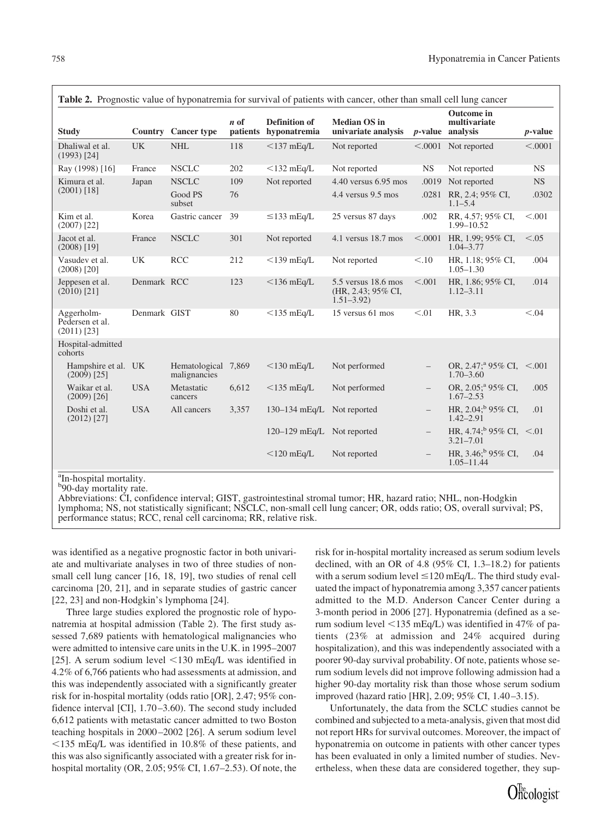| <b>Study</b>                                   |              | <b>Country</b> Cancer type          | $n \text{ of }$<br>patients | <b>Definition of</b><br>hyponatremia | <b>Median OS</b> in<br>univariate analysis                   |                          | <b>Outcome</b> in<br>multivariate<br><i>p</i> -value analysis | <i>p</i> -value |
|------------------------------------------------|--------------|-------------------------------------|-----------------------------|--------------------------------------|--------------------------------------------------------------|--------------------------|---------------------------------------------------------------|-----------------|
| Dhaliwal et al.<br>$(1993)$ [24]               | UK           | <b>NHL</b>                          | 118                         | $<$ 137 mEq/L                        | Not reported                                                 |                          | $\leq 0.0001$ Not reported                                    | < .0001         |
| Ray (1998) [16]                                | France       | <b>NSCLC</b>                        | 202                         | $<$ 132 mEq/L                        | Not reported                                                 | <b>NS</b>                | Not reported                                                  | <b>NS</b>       |
| Kimura et al.<br>$(2001)$ [18]                 | Japan        | <b>NSCLC</b>                        | 109                         | Not reported                         | 4.40 versus 6.95 mos                                         | .0019                    | Not reported                                                  | <b>NS</b>       |
|                                                |              | Good PS<br>subset                   | 76                          |                                      | 4.4 versus 9.5 mos                                           | .0281                    | RR, 2.4; 95% CI,<br>$1.1 - 5.4$                               | .0302           |
| Kim et al.<br>$(2007)$ [22]                    | Korea        | Gastric cancer                      | 39                          | $\leq$ 133 mEq/L                     | 25 versus 87 days                                            | .002                     | RR, 4.57; 95% CI,<br>1.99-10.52                               | < .001          |
| Jacot et al.<br>$(2008)$ [19]                  | France       | <b>NSCLC</b>                        | 301                         | Not reported                         | 4.1 versus 18.7 mos                                          | < .0001                  | HR, 1.99; 95% CI,<br>$1.04 - 3.77$                            | < 0.05          |
| Vasudev et al.<br>$(2008)$ [20]                | UK           | <b>RCC</b>                          | 212                         | $<$ 139 mEq/L                        | Not reported                                                 | < 10                     | HR, 1.18; 95% CI,<br>$1.05 - 1.30$                            | .004            |
| Jeppesen et al.<br>$(2010)$ [21]               | Denmark RCC  |                                     | 123                         | $<$ 136 mEq/L                        | 5.5 versus 18.6 mos<br>(HR, 2.43; 95% CI,<br>$1.51 - 3.92$ ) | < 0.001                  | HR, 1.86; 95% CI,<br>$1.12 - 3.11$                            | .014            |
| Aggerholm-<br>Pedersen et al.<br>$(2011)$ [23] | Denmark GIST |                                     | 80                          | $<$ 135 mEq/L                        | 15 versus 61 mos                                             | < 0.01                   | HR, 3.3                                                       | < 0.04          |
| Hospital-admitted<br>cohorts                   |              |                                     |                             |                                      |                                                              |                          |                                                               |                 |
| Hampshire et al. UK<br>$(2009)$ [25]           |              | Hematological 7,869<br>malignancies |                             | $<$ 130 mEq/L                        | Not performed                                                | $\qquad \qquad -$        | OR, 2.47; <sup>a</sup> 95% CI, <.001<br>$1.70 - 3.60$         |                 |
| Waikar et al.<br>$(2009)$ [26]                 | <b>USA</b>   | Metastatic<br>cancers               | 6,612                       | $<$ 135 mEq/L                        | Not performed                                                |                          | OR, 2.05; <sup>a</sup> 95% CI,<br>$1.67 - 2.53$               | .005            |
| Doshi et al.<br>$(2012)$ [27]                  | <b>USA</b>   | All cancers                         | 3,357                       | 130–134 mEq/L Not reported           |                                                              |                          | HR, $2.04$ ; $95\%$ CI,<br>$1.42 - 2.91$                      | .01             |
|                                                |              |                                     |                             | 120–129 mEq/L Not reported           |                                                              | $\overline{\phantom{0}}$ | HR, 4.74; <sup>b</sup> 95% CI, <.01<br>$3.21 - 7.01$          |                 |
|                                                |              |                                     |                             | $<$ 120 mEq/L                        | Not reported                                                 | $\overline{\phantom{0}}$ | HR, 3.46; <sup>b</sup> 95% CI,<br>$1.05 - 11.44$              | .04             |

<sup>a</sup>In-hospital mortality.<br><sup>b</sup>90-day mortality rate.

Abbreviations: CI, confidence interval; GIST, gastrointestinal stromal tumor; HR, hazard ratio; NHL, non-Hodgkin lymphoma; NS, not statistically significant; NSCLC, non-small cell lung cancer; OR, odds ratio; OS, overall survival; PS, performance status; RCC, renal cell carcinoma; RR, relative risk.

was identified as a negative prognostic factor in both univariate and multivariate analyses in two of three studies of nonsmall cell lung cancer [16, 18, 19], two studies of renal cell carcinoma [20, 21], and in separate studies of gastric cancer [22, 23] and non-Hodgkin's lymphoma [24].

Three large studies explored the prognostic role of hyponatremia at hospital admission (Table 2). The first study assessed 7,689 patients with hematological malignancies who were admitted to intensive care units in the U.K. in 1995–2007 [25]. A serum sodium level  $\leq$ 130 mEq/L was identified in 4.2% of 6,766 patients who had assessments at admission, and this was independently associated with a significantly greater risk for in-hospital mortality (odds ratio [OR], 2.47; 95% confidence interval [CI], 1.70–3.60). The second study included 6,612 patients with metastatic cancer admitted to two Boston teaching hospitals in 2000 –2002 [26]. A serum sodium level  $\le$ 135 mEq/L was identified in 10.8% of these patients, and this was also significantly associated with a greater risk for inhospital mortality (OR, 2.05; 95% CI, 1.67–2.53). Of note, the

risk for in-hospital mortality increased as serum sodium levels declined, with an OR of 4.8 (95% CI, 1.3–18.2) for patients with a serum sodium level  $\leq 120$  mEq/L. The third study evaluated the impact of hyponatremia among 3,357 cancer patients admitted to the M.D. Anderson Cancer Center during a 3-month period in 2006 [27]. Hyponatremia (defined as a serum sodium level  $\leq$ 135 mEq/L) was identified in 47% of patients (23% at admission and 24% acquired during hospitalization), and this was independently associated with a poorer 90-day survival probability. Of note, patients whose serum sodium levels did not improve following admission had a higher 90-day mortality risk than those whose serum sodium improved (hazard ratio [HR], 2.09; 95% CI, 1.40 –3.15).

Unfortunately, the data from the SCLC studies cannot be combined and subjected to a meta-analysis, given that most did not report HRs for survival outcomes. Moreover, the impact of hyponatremia on outcome in patients with other cancer types has been evaluated in only a limited number of studies. Nevertheless, when these data are considered together, they sup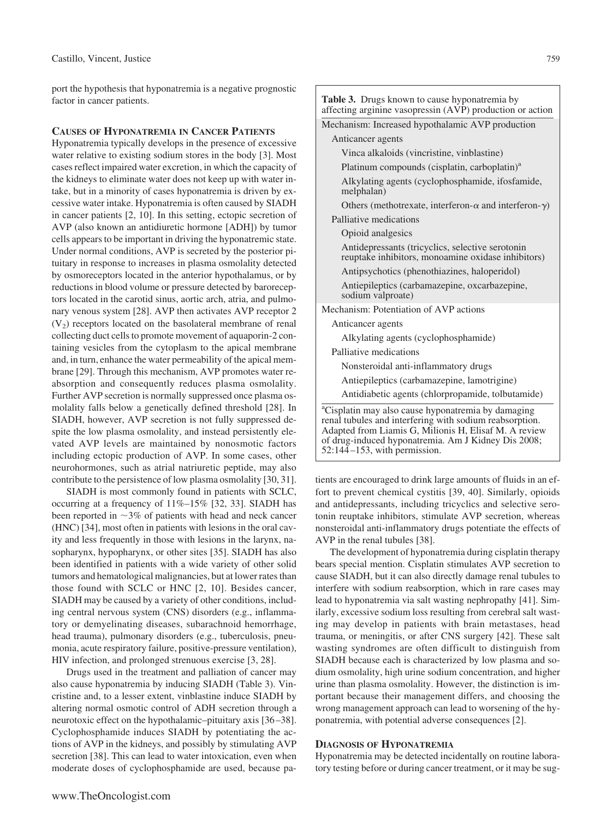port the hypothesis that hyponatremia is a negative prognostic factor in cancer patients.

# **CAUSES OF HYPONATREMIA IN CANCER PATIENTS**

Hyponatremia typically develops in the presence of excessive water relative to existing sodium stores in the body [3]. Most cases reflect impaired water excretion, in which the capacity of the kidneys to eliminate water does not keep up with water intake, but in a minority of cases hyponatremia is driven by excessive water intake. Hyponatremia is often caused by SIADH in cancer patients [2, 10]. In this setting, ectopic secretion of AVP (also known an antidiuretic hormone [ADH]) by tumor cells appears to be important in driving the hyponatremic state. Under normal conditions, AVP is secreted by the posterior pituitary in response to increases in plasma osmolality detected by osmoreceptors located in the anterior hypothalamus, or by reductions in blood volume or pressure detected by baroreceptors located in the carotid sinus, aortic arch, atria, and pulmonary venous system [28]. AVP then activates AVP receptor 2  $(V<sub>2</sub>)$  receptors located on the basolateral membrane of renal collecting duct cells to promote movement of aquaporin-2 containing vesicles from the cytoplasm to the apical membrane and, in turn, enhance the water permeability of the apical membrane [29]. Through this mechanism, AVP promotes water reabsorption and consequently reduces plasma osmolality. Further AVP secretion is normally suppressed once plasma osmolality falls below a genetically defined threshold [28]. In SIADH, however, AVP secretion is not fully suppressed despite the low plasma osmolality, and instead persistently elevated AVP levels are maintained by nonosmotic factors including ectopic production of AVP. In some cases, other neurohormones, such as atrial natriuretic peptide, may also contribute to the persistence of low plasma osmolality [30, 31].

SIADH is most commonly found in patients with SCLC, occurring at a frequency of 11%–15% [32, 33]. SIADH has been reported in  $\sim$ 3% of patients with head and neck cancer (HNC) [34], most often in patients with lesions in the oral cavity and less frequently in those with lesions in the larynx, nasopharynx, hypopharynx, or other sites [35]. SIADH has also been identified in patients with a wide variety of other solid tumors and hematological malignancies, but at lower rates than those found with SCLC or HNC [2, 10]. Besides cancer, SIADH may be caused by a variety of other conditions, including central nervous system (CNS) disorders (e.g., inflammatory or demyelinating diseases, subarachnoid hemorrhage, head trauma), pulmonary disorders (e.g., tuberculosis, pneumonia, acute respiratory failure, positive-pressure ventilation), HIV infection, and prolonged strenuous exercise [3, 28].

Drugs used in the treatment and palliation of cancer may also cause hyponatremia by inducing SIADH (Table 3). Vincristine and, to a lesser extent, vinblastine induce SIADH by altering normal osmotic control of ADH secretion through a neurotoxic effect on the hypothalamic–pituitary axis [36 –38]. Cyclophosphamide induces SIADH by potentiating the actions of AVP in the kidneys, and possibly by stimulating AVP secretion [38]. This can lead to water intoxication, even when moderate doses of cyclophosphamide are used, because pa-

| Table 3. Drugs known to cause hyponatremia by<br>affecting arginine vasopressin (AVP) production or action                                                                                                                                                                     |
|--------------------------------------------------------------------------------------------------------------------------------------------------------------------------------------------------------------------------------------------------------------------------------|
| Mechanism: Increased hypothalamic AVP production                                                                                                                                                                                                                               |
| Anticancer agents                                                                                                                                                                                                                                                              |
| Vinca alkaloids (vincristine, vinblastine)                                                                                                                                                                                                                                     |
| Platinum compounds (cisplatin, carboplatin) <sup>a</sup>                                                                                                                                                                                                                       |
| Alkylating agents (cyclophosphamide, ifosfamide,<br>melphalan)                                                                                                                                                                                                                 |
| Others (methotrexate, interferon- $\alpha$ and interferon- $\gamma$ )                                                                                                                                                                                                          |
| Palliative medications                                                                                                                                                                                                                                                         |
| Opioid analgesics                                                                                                                                                                                                                                                              |
| Antidepressants (tricyclics, selective serotonin<br>reuptake inhibitors, monoamine oxidase inhibitors)                                                                                                                                                                         |
| Antipsychotics (phenothiazines, haloperidol)                                                                                                                                                                                                                                   |
| Antiepileptics (carbamazepine, oxcarbazepine,<br>sodium valproate)                                                                                                                                                                                                             |
| Mechanism: Potentiation of AVP actions                                                                                                                                                                                                                                         |
| Anticancer agents                                                                                                                                                                                                                                                              |
| Alkylating agents (cyclophosphamide)                                                                                                                                                                                                                                           |
| Palliative medications                                                                                                                                                                                                                                                         |
| Nonsteroidal anti-inflammatory drugs                                                                                                                                                                                                                                           |
| Antiepileptics (carbamazepine, lamotrigine)                                                                                                                                                                                                                                    |
| Antidiabetic agents (chlorpropamide, tolbutamide)                                                                                                                                                                                                                              |
| <sup>a</sup> Cisplatin may also cause hyponatremia by damaging<br>renal tubules and interfering with sodium reabsorption.<br>Adapted from Liamis G, Milionis H, Elisaf M. A review<br>of drug-induced hyponatremia. Am J Kidney Dis 2008;<br>$52:144 - 153$ , with permission. |
|                                                                                                                                                                                                                                                                                |

tients are encouraged to drink large amounts of fluids in an effort to prevent chemical cystitis [39, 40]. Similarly, opioids and antidepressants, including tricyclics and selective serotonin reuptake inhibitors, stimulate AVP secretion, whereas nonsteroidal anti-inflammatory drugs potentiate the effects of AVP in the renal tubules [38].

The development of hyponatremia during cisplatin therapy bears special mention. Cisplatin stimulates AVP secretion to cause SIADH, but it can also directly damage renal tubules to interfere with sodium reabsorption, which in rare cases may lead to hyponatremia via salt wasting nephropathy [41]. Similarly, excessive sodium loss resulting from cerebral salt wasting may develop in patients with brain metastases, head trauma, or meningitis, or after CNS surgery [42]. These salt wasting syndromes are often difficult to distinguish from SIADH because each is characterized by low plasma and sodium osmolality, high urine sodium concentration, and higher urine than plasma osmolality. However, the distinction is important because their management differs, and choosing the wrong management approach can lead to worsening of the hyponatremia, with potential adverse consequences [2].

# **DIAGNOSIS OF HYPONATREMIA**

Hyponatremia may be detected incidentally on routine laboratory testing before or during cancer treatment, or it may be sug-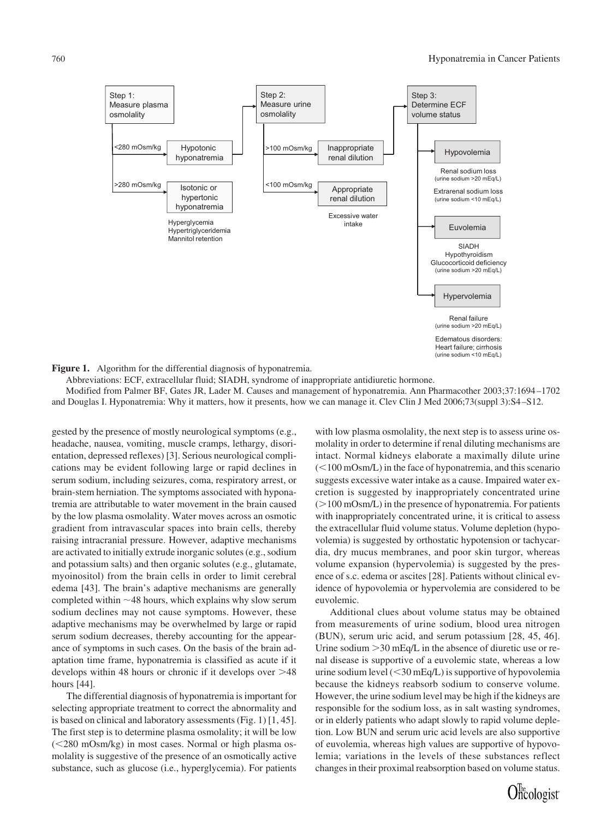

**Figure 1.** Algorithm for the differential diagnosis of hyponatremia.

Abbreviations: ECF, extracellular fluid; SIADH, syndrome of inappropriate antidiuretic hormone.

Modified from Palmer BF, Gates JR, Lader M. Causes and management of hyponatremia. Ann Pharmacother 2003;37:1694 –1702 and Douglas I. Hyponatremia: Why it matters, how it presents, how we can manage it. Clev Clin J Med 2006;73(suppl 3):S4 –S12.

gested by the presence of mostly neurological symptoms (e.g., headache, nausea, vomiting, muscle cramps, lethargy, disorientation, depressed reflexes) [3]. Serious neurological complications may be evident following large or rapid declines in serum sodium, including seizures, coma, respiratory arrest, or brain-stem herniation. The symptoms associated with hyponatremia are attributable to water movement in the brain caused by the low plasma osmolality. Water moves across an osmotic gradient from intravascular spaces into brain cells, thereby raising intracranial pressure. However, adaptive mechanisms are activated to initially extrude inorganic solutes (e.g., sodium and potassium salts) and then organic solutes (e.g., glutamate, myoinositol) from the brain cells in order to limit cerebral edema [43]. The brain's adaptive mechanisms are generally completed within  $~18$  hours, which explains why slow serum sodium declines may not cause symptoms. However, these adaptive mechanisms may be overwhelmed by large or rapid serum sodium decreases, thereby accounting for the appearance of symptoms in such cases. On the basis of the brain adaptation time frame, hyponatremia is classified as acute if it develops within 48 hours or chronic if it develops over  $>48$ hours [44].

The differential diagnosis of hyponatremia is important for selecting appropriate treatment to correct the abnormality and is based on clinical and laboratory assessments (Fig. 1) [1, 45]. The first step is to determine plasma osmolality; it will be low (280 mOsm/kg) in most cases. Normal or high plasma osmolality is suggestive of the presence of an osmotically active substance, such as glucose (i.e., hyperglycemia). For patients

with low plasma osmolality, the next step is to assess urine osmolality in order to determine if renal diluting mechanisms are intact. Normal kidneys elaborate a maximally dilute urine  $(<100 \text{ mOsm/L})$  in the face of hyponatremia, and this scenario suggests excessive water intake as a cause. Impaired water excretion is suggested by inappropriately concentrated urine  $(>100 \text{ mOsm/L})$  in the presence of hyponatremia. For patients with inappropriately concentrated urine, it is critical to assess the extracellular fluid volume status. Volume depletion (hypovolemia) is suggested by orthostatic hypotension or tachycardia, dry mucus membranes, and poor skin turgor, whereas volume expansion (hypervolemia) is suggested by the presence of s.c. edema or ascites [28]. Patients without clinical evidence of hypovolemia or hypervolemia are considered to be euvolemic.

Additional clues about volume status may be obtained from measurements of urine sodium, blood urea nitrogen (BUN), serum uric acid, and serum potassium [28, 45, 46]. Urine sodium  $>$ 30 mEq/L in the absence of diuretic use or renal disease is supportive of a euvolemic state, whereas a low urine sodium level (30 mEq/L) is supportive of hypovolemia because the kidneys reabsorb sodium to conserve volume. However, the urine sodium level may be high if the kidneys are responsible for the sodium loss, as in salt wasting syndromes, or in elderly patients who adapt slowly to rapid volume depletion. Low BUN and serum uric acid levels are also supportive of euvolemia, whereas high values are supportive of hypovolemia; variations in the levels of these substances reflect changes in their proximal reabsorption based on volume status.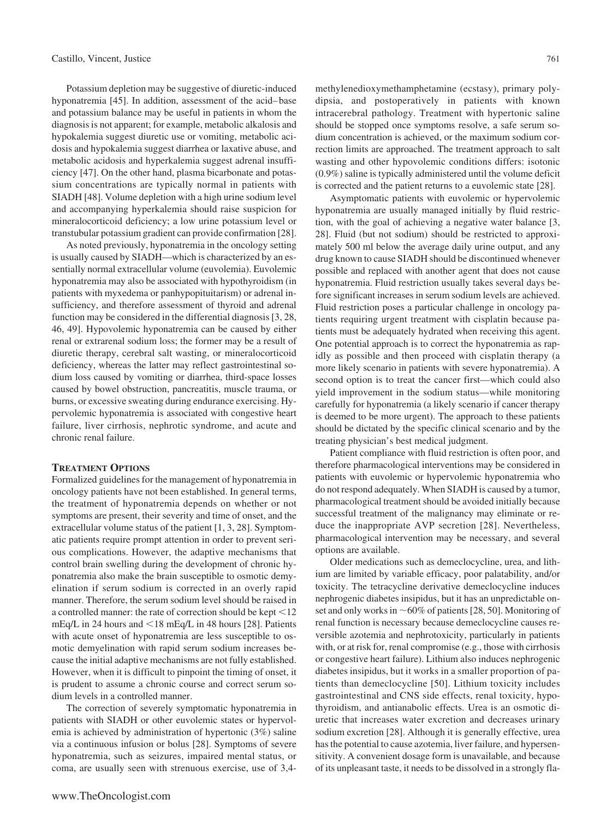Potassium depletion may be suggestive of diuretic-induced hyponatremia [45]. In addition, assessment of the acid–base and potassium balance may be useful in patients in whom the diagnosis is not apparent; for example, metabolic alkalosis and hypokalemia suggest diuretic use or vomiting, metabolic acidosis and hypokalemia suggest diarrhea or laxative abuse, and metabolic acidosis and hyperkalemia suggest adrenal insufficiency [47]. On the other hand, plasma bicarbonate and potassium concentrations are typically normal in patients with SIADH [48]. Volume depletion with a high urine sodium level and accompanying hyperkalemia should raise suspicion for mineralocorticoid deficiency; a low urine potassium level or transtubular potassium gradient can provide confirmation [28].

As noted previously, hyponatremia in the oncology setting is usually caused by SIADH—which is characterized by an essentially normal extracellular volume (euvolemia). Euvolemic hyponatremia may also be associated with hypothyroidism (in patients with myxedema or panhypopituitarism) or adrenal insufficiency, and therefore assessment of thyroid and adrenal function may be considered in the differential diagnosis [3, 28, 46, 49]. Hypovolemic hyponatremia can be caused by either renal or extrarenal sodium loss; the former may be a result of diuretic therapy, cerebral salt wasting, or mineralocorticoid deficiency, whereas the latter may reflect gastrointestinal sodium loss caused by vomiting or diarrhea, third-space losses caused by bowel obstruction, pancreatitis, muscle trauma, or burns, or excessive sweating during endurance exercising. Hypervolemic hyponatremia is associated with congestive heart failure, liver cirrhosis, nephrotic syndrome, and acute and chronic renal failure.

# **TREATMENT OPTIONS**

Formalized guidelines for the management of hyponatremia in oncology patients have not been established. In general terms, the treatment of hyponatremia depends on whether or not symptoms are present, their severity and time of onset, and the extracellular volume status of the patient [1, 3, 28]. Symptomatic patients require prompt attention in order to prevent serious complications. However, the adaptive mechanisms that control brain swelling during the development of chronic hyponatremia also make the brain susceptible to osmotic demyelination if serum sodium is corrected in an overly rapid manner. Therefore, the serum sodium level should be raised in a controlled manner: the rate of correction should be kept  $\leq 12$ mEq/L in 24 hours and  $\leq$  18 mEq/L in 48 hours [28]. Patients with acute onset of hyponatremia are less susceptible to osmotic demyelination with rapid serum sodium increases because the initial adaptive mechanisms are not fully established. However, when it is difficult to pinpoint the timing of onset, it is prudent to assume a chronic course and correct serum sodium levels in a controlled manner.

The correction of severely symptomatic hyponatremia in patients with SIADH or other euvolemic states or hypervolemia is achieved by administration of hypertonic (3%) saline via a continuous infusion or bolus [28]. Symptoms of severe hyponatremia, such as seizures, impaired mental status, or coma, are usually seen with strenuous exercise, use of 3,4-

methylenedioxymethamphetamine (ecstasy), primary polydipsia, and postoperatively in patients with known intracerebral pathology. Treatment with hypertonic saline should be stopped once symptoms resolve, a safe serum sodium concentration is achieved, or the maximum sodium correction limits are approached. The treatment approach to salt wasting and other hypovolemic conditions differs: isotonic (0.9%) saline is typically administered until the volume deficit is corrected and the patient returns to a euvolemic state [28].

Asymptomatic patients with euvolemic or hypervolemic hyponatremia are usually managed initially by fluid restriction, with the goal of achieving a negative water balance [3, 28]. Fluid (but not sodium) should be restricted to approximately 500 ml below the average daily urine output, and any drug known to cause SIADH should be discontinued whenever possible and replaced with another agent that does not cause hyponatremia. Fluid restriction usually takes several days before significant increases in serum sodium levels are achieved. Fluid restriction poses a particular challenge in oncology patients requiring urgent treatment with cisplatin because patients must be adequately hydrated when receiving this agent. One potential approach is to correct the hyponatremia as rapidly as possible and then proceed with cisplatin therapy (a more likely scenario in patients with severe hyponatremia). A second option is to treat the cancer first—which could also yield improvement in the sodium status—while monitoring carefully for hyponatremia (a likely scenario if cancer therapy is deemed to be more urgent). The approach to these patients should be dictated by the specific clinical scenario and by the treating physician's best medical judgment.

Patient compliance with fluid restriction is often poor, and therefore pharmacological interventions may be considered in patients with euvolemic or hypervolemic hyponatremia who do not respond adequately. When SIADH is caused by a tumor, pharmacological treatment should be avoided initially because successful treatment of the malignancy may eliminate or reduce the inappropriate AVP secretion [28]. Nevertheless, pharmacological intervention may be necessary, and several options are available.

Older medications such as demeclocycline, urea, and lithium are limited by variable efficacy, poor palatability, and/or toxicity. The tetracycline derivative demeclocycline induces nephrogenic diabetes insipidus, but it has an unpredictable onset and only works in  $~60\%$  of patients [28, 50]. Monitoring of renal function is necessary because demeclocycline causes reversible azotemia and nephrotoxicity, particularly in patients with, or at risk for, renal compromise (e.g., those with cirrhosis or congestive heart failure). Lithium also induces nephrogenic diabetes insipidus, but it works in a smaller proportion of patients than demeclocycline [50]. Lithium toxicity includes gastrointestinal and CNS side effects, renal toxicity, hypothyroidism, and antianabolic effects. Urea is an osmotic diuretic that increases water excretion and decreases urinary sodium excretion [28]. Although it is generally effective, urea has the potential to cause azotemia, liver failure, and hypersensitivity. A convenient dosage form is unavailable, and because of its unpleasant taste, it needs to be dissolved in a strongly fla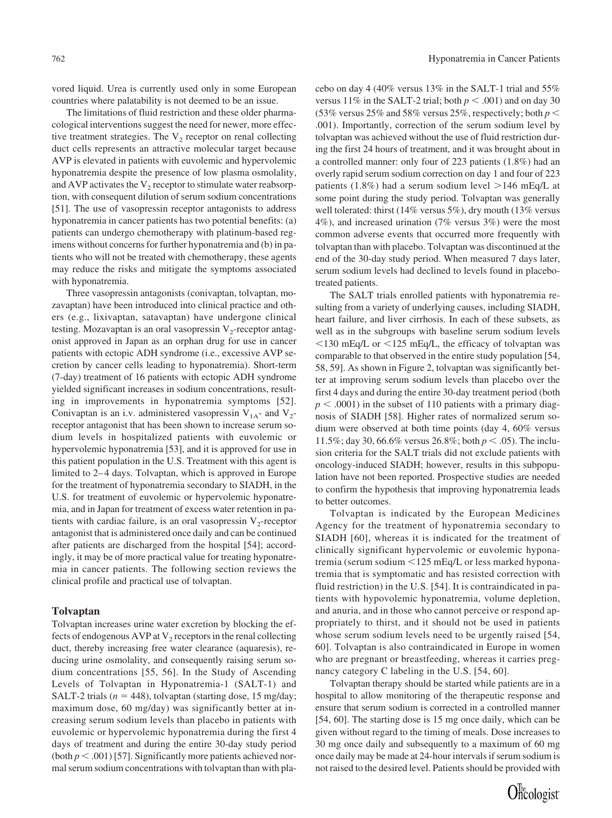vored liquid. Urea is currently used only in some European countries where palatability is not deemed to be an issue.

The limitations of fluid restriction and these older pharmacological interventions suggest the need for newer, more effective treatment strategies. The  $V_2$  receptor on renal collecting duct cells represents an attractive molecular target because AVP is elevated in patients with euvolemic and hypervolemic hyponatremia despite the presence of low plasma osmolality, and AVP activates the  $V_2$  receptor to stimulate water reabsorption, with consequent dilution of serum sodium concentrations [51]. The use of vasopressin receptor antagonists to address hyponatremia in cancer patients has two potential benefits: (a) patients can undergo chemotherapy with platinum-based regimens without concerns for further hyponatremia and (b) in patients who will not be treated with chemotherapy, these agents may reduce the risks and mitigate the symptoms associated with hyponatremia.

Three vasopressin antagonists (conivaptan, tolvaptan, mozavaptan) have been introduced into clinical practice and others (e.g., lixivaptan, satavaptan) have undergone clinical testing. Mozavaptan is an oral vasopressin  $V_2$ -receptor antagonist approved in Japan as an orphan drug for use in cancer patients with ectopic ADH syndrome (i.e., excessive AVP secretion by cancer cells leading to hyponatremia). Short-term (7-day) treatment of 16 patients with ectopic ADH syndrome yielded significant increases in sodium concentrations, resulting in improvements in hyponatremia symptoms [52]. Conivaptan is an i.v. administered vasopressin  $V_{1A}$ - and  $V_2$ receptor antagonist that has been shown to increase serum sodium levels in hospitalized patients with euvolemic or hypervolemic hyponatremia [53], and it is approved for use in this patient population in the U.S. Treatment with this agent is limited to 2– 4 days. Tolvaptan, which is approved in Europe for the treatment of hyponatremia secondary to SIADH, in the U.S. for treatment of euvolemic or hypervolemic hyponatremia, and in Japan for treatment of excess water retention in patients with cardiac failure, is an oral vasopressin  $V_2$ -receptor antagonist that is administered once daily and can be continued after patients are discharged from the hospital [54]; accordingly, it may be of more practical value for treating hyponatremia in cancer patients. The following section reviews the clinical profile and practical use of tolvaptan.

# **Tolvaptan**

Tolvaptan increases urine water excretion by blocking the effects of endogenous AVP at  $V_2$  receptors in the renal collecting duct, thereby increasing free water clearance (aquaresis), reducing urine osmolality, and consequently raising serum sodium concentrations [55, 56]. In the Study of Ascending Levels of Tolvaptan in Hyponatremia-1 (SALT-1) and SALT-2 trials  $(n = 448)$ , tolvaptan (starting dose, 15 mg/day; maximum dose, 60 mg/day) was significantly better at increasing serum sodium levels than placebo in patients with euvolemic or hypervolemic hyponatremia during the first 4 days of treatment and during the entire 30-day study period (both  $p < .001$ ) [57]. Significantly more patients achieved normal serum sodium concentrations with tolvaptan than with placebo on day 4 (40% versus 13% in the SALT-1 trial and 55% versus 11% in the SALT-2 trial; both  $p < .001$ ) and on day 30 (53% versus 25% and 58% versus 25%, respectively; both  $p <$ .001). Importantly, correction of the serum sodium level by tolvaptan was achieved without the use of fluid restriction during the first 24 hours of treatment, and it was brought about in a controlled manner: only four of 223 patients (1.8%) had an overly rapid serum sodium correction on day 1 and four of 223 patients (1.8%) had a serum sodium level  $>$ 146 mEq/L at some point during the study period. Tolvaptan was generally well tolerated: thirst (14% versus 5%), dry mouth (13% versus 4%), and increased urination (7% versus 3%) were the most common adverse events that occurred more frequently with tolvaptan than with placebo. Tolvaptan was discontinued at the end of the 30-day study period. When measured 7 days later, serum sodium levels had declined to levels found in placebotreated patients.

The SALT trials enrolled patients with hyponatremia resulting from a variety of underlying causes, including SIADH, heart failure, and liver cirrhosis. In each of these subsets, as well as in the subgroups with baseline serum sodium levels  $130$  mEq/L or  $125$  mEq/L, the efficacy of tolvaptan was comparable to that observed in the entire study population [54, 58, 59]. As shown in Figure 2, tolvaptan was significantly better at improving serum sodium levels than placebo over the first 4 days and during the entire 30-day treatment period (both  $p < .0001$ ) in the subset of 110 patients with a primary diagnosis of SIADH [58]. Higher rates of normalized serum sodium were observed at both time points (day 4, 60% versus 11.5%; day 30, 66.6% versus 26.8%; both  $p < .05$ ). The inclusion criteria for the SALT trials did not exclude patients with oncology-induced SIADH; however, results in this subpopulation have not been reported. Prospective studies are needed to confirm the hypothesis that improving hyponatremia leads to better outcomes.

Tolvaptan is indicated by the European Medicines Agency for the treatment of hyponatremia secondary to SIADH [60], whereas it is indicated for the treatment of clinically significant hypervolemic or euvolemic hyponatremia (serum sodium  $\leq 125$  mEq/L or less marked hyponatremia that is symptomatic and has resisted correction with fluid restriction) in the U.S. [54]. It is contraindicated in patients with hypovolemic hyponatremia, volume depletion, and anuria, and in those who cannot perceive or respond appropriately to thirst, and it should not be used in patients whose serum sodium levels need to be urgently raised [54, 60]. Tolvaptan is also contraindicated in Europe in women who are pregnant or breastfeeding, whereas it carries pregnancy category C labeling in the U.S. [54, 60].

Tolvaptan therapy should be started while patients are in a hospital to allow monitoring of the therapeutic response and ensure that serum sodium is corrected in a controlled manner [54, 60]. The starting dose is 15 mg once daily, which can be given without regard to the timing of meals. Dose increases to 30 mg once daily and subsequently to a maximum of 60 mg once daily may be made at 24-hour intervals if serum sodium is not raised to the desired level. Patients should be provided with

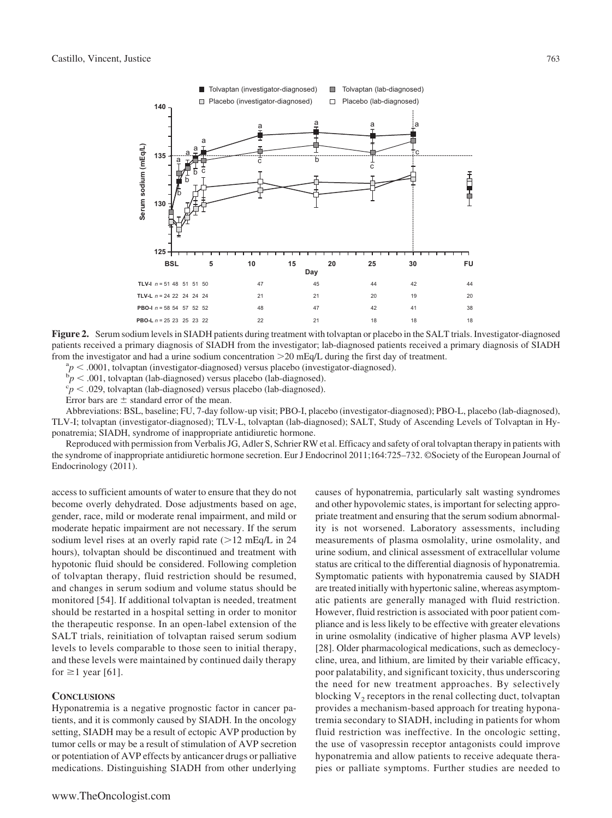

**Figure 2.** Serum sodium levels in SIADH patients during treatment with tolvaptan or placebo in the SALT trials. Investigator-diagnosed patients received a primary diagnosis of SIADH from the investigator; lab-diagnosed patients received a primary diagnosis of SIADH from the investigator and had a urine sodium concentration  $>$ 20 mEq/L during the first day of treatment.

 $^{a}p$  < .0001, tolvaptan (investigator-diagnosed) versus placebo (investigator-diagnosed).

 $p<$  .001, tolvaptan (lab-diagnosed) versus placebo (lab-diagnosed).

 $\epsilon_p$  < .029, tolvaptan (lab-diagnosed) versus placebo (lab-diagnosed).

Error bars are  $\pm$  standard error of the mean.

Abbreviations: BSL, baseline; FU, 7-day follow-up visit; PBO-I, placebo (investigator-diagnosed); PBO-L, placebo (lab-diagnosed), TLV-I; tolvaptan (investigator-diagnosed); TLV-L, tolvaptan (lab-diagnosed); SALT, Study of Ascending Levels of Tolvaptan in Hyponatremia; SIADH, syndrome of inappropriate antidiuretic hormone.

Reproduced with permission from Verbalis JG, Adler S, Schrier RW et al. Efficacy and safety of oral tolvaptan therapy in patients with the syndrome of inappropriate antidiuretic hormone secretion. Eur J Endocrinol 2011;164:725–732. ©Society of the European Journal of Endocrinology (2011).

access to sufficient amounts of water to ensure that they do not become overly dehydrated. Dose adjustments based on age, gender, race, mild or moderate renal impairment, and mild or moderate hepatic impairment are not necessary. If the serum sodium level rises at an overly rapid rate  $(>12 \text{ mEq/L in } 24$ hours), tolvaptan should be discontinued and treatment with hypotonic fluid should be considered. Following completion of tolvaptan therapy, fluid restriction should be resumed, and changes in serum sodium and volume status should be monitored [54]. If additional tolvaptan is needed, treatment should be restarted in a hospital setting in order to monitor the therapeutic response. In an open-label extension of the SALT trials, reinitiation of tolvaptan raised serum sodium levels to levels comparable to those seen to initial therapy, and these levels were maintained by continued daily therapy for  $\geq 1$  year [61].

## **CONCLUSIONS**

Hyponatremia is a negative prognostic factor in cancer patients, and it is commonly caused by SIADH. In the oncology setting, SIADH may be a result of ectopic AVP production by tumor cells or may be a result of stimulation of AVP secretion or potentiation of AVP effects by anticancer drugs or palliative medications. Distinguishing SIADH from other underlying

causes of hyponatremia, particularly salt wasting syndromes and other hypovolemic states, is important for selecting appropriate treatment and ensuring that the serum sodium abnormality is not worsened. Laboratory assessments, including measurements of plasma osmolality, urine osmolality, and urine sodium, and clinical assessment of extracellular volume status are critical to the differential diagnosis of hyponatremia. Symptomatic patients with hyponatremia caused by SIADH are treated initially with hypertonic saline, whereas asymptomatic patients are generally managed with fluid restriction. However, fluid restriction is associated with poor patient compliance and is less likely to be effective with greater elevations in urine osmolality (indicative of higher plasma AVP levels) [28]. Older pharmacological medications, such as demeclocycline, urea, and lithium, are limited by their variable efficacy, poor palatability, and significant toxicity, thus underscoring the need for new treatment approaches. By selectively blocking  $V_2$  receptors in the renal collecting duct, tolvaptan provides a mechanism-based approach for treating hyponatremia secondary to SIADH, including in patients for whom fluid restriction was ineffective. In the oncologic setting, the use of vasopressin receptor antagonists could improve hyponatremia and allow patients to receive adequate therapies or palliate symptoms. Further studies are needed to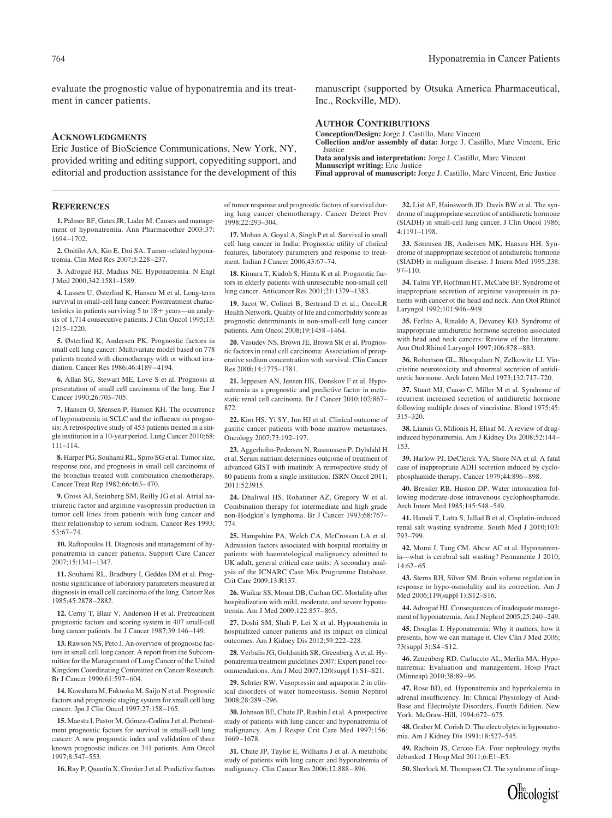evaluate the prognostic value of hyponatremia and its treatment in cancer patients.

# **ACKNOWLEDGMENTS**

Eric Justice of BioScience Communications, New York, NY, provided writing and editing support, copyediting support, and editorial and production assistance for the development of this

#### **REFERENCES**

**1.** Palmer BF, Gates JR, Lader M. Causes and management of hyponatremia. Ann Pharmacother 2003;37: 1694 –1702.

**2.** Onitilo AA, Kio E, Doi SA. Tumor-related hyponatremia. Clin Med Res 2007;5:228 –237.

**3.** Adrogué HJ, Madias NE. Hyponatremia. N Engl J Med 2000;342:1581–1589.

**4.** Lassen U, Østerlind K, Hansen M et al. Long-term survival in small-cell lung cancer: Posttreatment characteristics in patients surviving  $5$  to  $18 +$  years—an analysis of 1,714 consecutive patients. J Clin Oncol 1995;13: 1215–1220.

**5.** Østerlind K, Andersen PK. Prognostic factors in small cell lung cancer: Multivariate model based on 778 patients treated with chemotherapy with or without irradiation. Cancer Res 1986;46:4189 – 4194.

**6.** Allan SG, Stewart ME, Love S et al. Prognosis at presentation of small cell carcinoma of the lung. Eur J Cancer 1990;26:703–705.

**7.** Hansen O, Srensen P, Hansen KH. The occurrence of hyponatremia in SCLC and the influence on prognosis: A retrospective study of 453 patients treated in a single institution in a 10-year period. Lung Cancer 2010;68: 111–114.

**8.** Harper PG, Souhami RL, Spiro SG et al. Tumor size, response rate, and prognosis in small cell carcinoma of the bronchus treated with combination chemotherapy. Cancer Treat Rep 1982;66:463– 470.

**9.** Gross AJ, Steinberg SM, Reilly JG et al. Atrial natriuretic factor and arginine vasopressin production in tumor cell lines from patients with lung cancer and their relationship to serum sodium. Cancer Res 1993; 53:67–74.

**10.** Raftopoulos H. Diagnosis and management of hyponatremia in cancer patients. Support Care Cancer 2007;15:1341–1347.

**11.** Souhami RL, Bradbury I, Geddes DM et al. Prognostic significance of laboratory parameters measured at diagnosis in small cell carcinoma of the lung. Cancer Res 1985;45:2878 –2882.

**12.** Cerny T, Blair V, Anderson H et al. Pretreatment prognostic factors and scoring system in 407 small-cell lung cancer patients. Int J Cancer 1987;39:146 –149.

**13.** Rawson NS, Peto J. An overview of prognostic factors in small cell lung cancer. A report from the Subcommittee for the Management of Lung Cancer of the United Kingdom Coordinating Committee on Cancer Research. Br J Cancer 1990;61:597– 604.

**14.** Kawahara M, Fukuoka M, Saijo N et al. Prognostic factors and prognostic staging system for small cell lung cancer. Jpn J Clin Oncol 1997;27:158 –165.

**15.** Maestu I, Pastor M, Gómez-Codina J et al. Pretreatment prognostic factors for survival in small-cell lung cancer: A new prognostic index and validation of three known prognostic indices on 341 patients. Ann Oncol 1997;8:547–553.

**16.** Ray P, Quantin X, Grenìer J et al. Predictive factors

of tumor response and prognostic factors of survival during lung cancer chemotherapy. Cancer Detect Prev 1998;22:293–304.

Inc., Rockville, MD).

Justice

**AUTHOR CONTRIBUTIONS**

**17.** Mohan A, Goyal A, Singh P et al. Survival in small cell lung cancer in India: Prognostic utility of clinical features, laboratory parameters and response to treatment. Indian J Cancer 2006;43:67–74.

**18.** Kimura T, Kudoh S, Hirata K et al. Prognostic factors in elderly patients with unresectable non-small cell lung cancer. Anticancer Res 2001;21:1379 –1383.

**19.** Jacot W, Colinet B, Bertrand D et al.; OncoLR Health Network. Quality of life and comorbidity score as prognostic determinants in non-small-cell lung cancer patients. Ann Oncol 2008;19:1458 –1464.

**20.** Vasudev NS, Brown JE, Brown SR et al. Prognostic factors in renal cell carcinoma: Association of preoperative sodium concentration with survival. Clin Cancer Res 2008;14:1775–1781.

**21.** Jeppesen AN, Jensen HK, Donskov F et al. Hyponatremia as a prognostic and predictive factor in metastatic renal cell carcinoma. Br J Cancer 2010;102:867-872.

**22.** Kim HS, Yi SY, Jun HJ et al. Clinical outcome of gastric cancer patients with bone marrow metastases. Oncology 2007;73:192–197.

**23.** Aggerholm-Pedersen N, Rasmussen P, Dybdahl H et al. Serum natrium determines outcome of treatment of advanced GIST with imatinib: A retrospective study of 80 patients from a single institution. ISRN Oncol 2011; 2011:523915.

**24.** Dhaliwal HS, Rohatiner AZ, Gregory W et al. Combination therapy for intermediate and high grade non-Hodgkin's lymphoma. Br J Cancer 1993;68:767– 774.

**25.** Hampshire PA, Welch CA, McCrossan LA et al. Admission factors associated with hospital mortality in patients with haematological malignancy admitted to UK adult, general critical care units: A secondary analysis of the ICNARC Case Mix Programme Database. Crit Care 2009;13:R137.

**26.** Waikar SS, Mount DB, Curhan GC. Mortality after hospitalization with mild, moderate, and severe hyponatremia. Am J Med 2009;122:857– 865.

**27.** Doshi SM, Shah P, Lei X et al. Hyponatremia in hospitalized cancer patients and its impact on clinical outcomes. Am J Kidney Dis 2012;59:222–228.

**28.** Verbalis JG, Goldsmith SR, Greenberg A et al. Hyponatremia treatment guidelines 2007: Expert panel recommendations. Am J Med 2007;120(suppl 1):S1–S21.

**29.** Schrier RW. Vasopressin and aquaporin 2 in clinical disorders of water homeostasis. Semin Nephrol 2008;28:289 –296.

**30.**Johnson BE, Chute JP, Rushin J et al. A prospective study of patients with lung cancer and hyponatremia of malignancy. Am J Respir Crit Care Med 1997;156: 1669 –1678.

**31.** Chute JP, Taylor E, Williams J et al. A metabolic study of patients with lung cancer and hyponatremia of malignancy. Clin Cancer Res 2006;12:888 – 896.

**Conception/Design:** Jorge J. Castillo, Marc Vincent **Collection and/or assembly of data:** Jorge J. Castillo, Marc Vincent, Eric **Data analysis and interpretation:** Jorge J. Castillo, Marc Vincent

**Manuscript writing:** Eric Justice **Final approval of manuscript:** Jorge J. Castillo, Marc Vincent, Eric Justice

manuscript (supported by Otsuka America Pharmaceutical,

**32.** List AF, Hainsworth JD, Davis BW et al. The syndrome of inappropriate secretion of antidiuretic hormone (SIADH) in small-cell lung cancer. J Clin Oncol 1986; 4:1191–1198.

**33.** Sørensen JB, Andersen MK, Hansen HH. Syndrome of inappropriate secretion of antidiuretic hormone (SIADH) in malignant disease. J Intern Med 1995;238: 97–110.

**34.** Talmi YP, Hoffman HT, McCabe BF. Syndrome of inappropriate secretion of arginine vasopressin in patients with cancer of the head and neck. Ann Otol Rhinol Laryngol 1992;101:946 –949.

**35.** Ferlito A, Rinaldo A, Devaney KO. Syndrome of inappropriate antidiuretic hormone secretion associated with head and neck cancers: Review of the literature. Ann Otol Rhinol Laryngol 1997;106:878 – 883.

**36.** Robertson GL, Bhoopalam N, Zelkowitz LJ. Vincristine neurotoxicity and abnormal secretion of antidiuretic hormone. Arch Intern Med 1973;132:717–720.

**37.** Stuart MJ, Cuaso C, Miller M et al. Syndrome of recurrent increased secretion of antidiuretic hormone following multiple doses of vincristine. Blood 1975;45: 315–320.

**38.** Liamis G, Milionis H, Elisaf M. A review of druginduced hyponatremia. Am J Kidney Dis 2008;52:144 – 153.

**39.** Harlow PJ, DeClerck YA, Shore NA et al. A fatal case of inappropriate ADH secretion induced by cyclophosphamide therapy. Cancer 1979;44:896 – 898.

**40.** Bressler RB, Huston DP. Water intoxication following moderate-dose intravenous cyclophosphamide. Arch Intern Med 1985;145:548 –549.

**41.** Hamdi T, Latta S, Jallad B et al. Cisplatin-induced renal salt wasting syndrome. South Med J 2010;103: 793–799.

**42.** Momi J, Tang CM, Abcar AC et al. Hyponatremia—what is cerebral salt wasting? Permanente J 2010;  $14.62 - 65$ 

**43.** Sterns RH, Silver SM. Brain volume regulation in response to hypo-osmolality and its correction. Am J Med 2006;119(suppl 1):S12–S16.

**44.** Adrogué HJ. Consequences of inadequate management of hyponatremia. Am J Nephrol 2005;25:240 –249.

**45.** Douglas I. Hyponatremia: Why it matters, how it presents, how we can manage it. Clev Clin J Med 2006; 73(suppl 3):S4 –S12.

**46.** Zenenberg RD, Carluccio AL, Merlin MA. Hyponatremia: Evaluation and management. Hosp Pract (Minneap) 2010;38:89 –96.

**47.** Rose BD, ed. Hyponatremia and hyperkalemia in adrenal insufficiency. In: Clinical Physiology of Acid-Base and Electrolyte Disorders, Fourth Edition. New York: McGraw-Hill, 1994:672– 675.

**48.** Graber M, Corish D. The electrolytes in hyponatremia. Am J Kidney Dis 1991;18:527–545.

**49.** Rachoin JS, Cerceo EA. Four nephrology myths debunked. J Hosp Med 2011;6:E1–E5.

**50.** Sherlock M, Thompson CJ. The syndrome of inap-